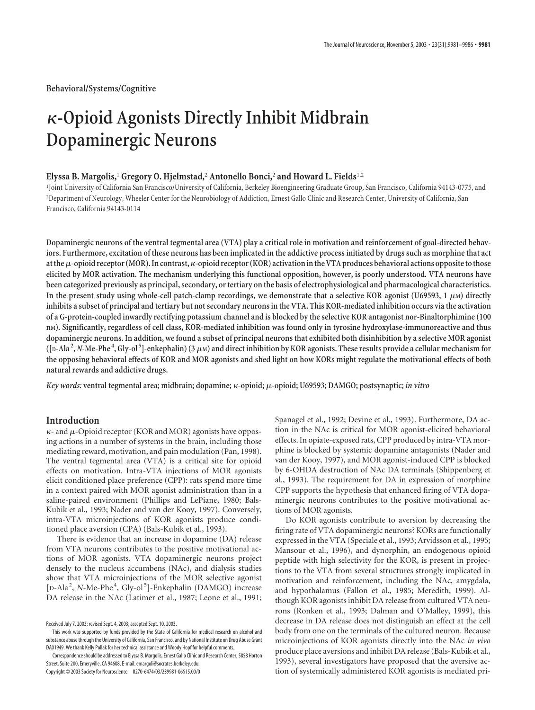# **-Opioid Agonists Directly Inhibit Midbrain Dopaminergic Neurons**

## **Elyssa B. Margolis,**<sup>1</sup> **Gregory O. Hjelmstad,**<sup>2</sup> **Antonello Bonci,**<sup>2</sup> **and Howard L. Fields**1,2

1 Joint University of California San Francisco/University of California, Berkeley Bioengineering Graduate Group, San Francisco, California 94143-0775, and 2 Department of Neurology, Wheeler Center for the Neurobiology of Addiction, Ernest Gallo Clinic and Research Center, University of California, San Francisco, California 94143-0114

**Dopaminergic neurons of the ventral tegmental area (VTA) play a critical role in motivation and reinforcement of goal-directed behaviors. Furthermore, excitation of these neurons has been implicated in the addictive process initiated by drugs such as morphine that act at the**-**-opioid receptor (MOR). In contrast,-opioid receptor (KOR) activation in the VTA produces behavioral actions opposite to those elicited by MOR activation. The mechanism underlying this functional opposition, however, is poorly understood. VTA neurons have been categorized previously as principal, secondary, or tertiary on the basis of electrophysiological and pharmacological characteristics.** In the present study using whole-cell patch-clamp recordings, we demonstrate that a selective KOR agonist (U69593, 1  $\mu$ M) directly **inhibits a subset of principal and tertiary but not secondary neurons in the VTA. This KOR-mediated inhibition occurs via the activation of a G-protein-coupled inwardly rectifying potassium channel and is blocked by the selective KOR antagonist nor-Binaltorphimine (100 nM). Significantly, regardless of cell class, KOR-mediated inhibition was found only in tyrosine hydroxylase-immunoreactive and thus dopaminergic neurons. In addition, we found a subset of principal neurons that exhibited both disinhibition by a selective MOR agonist**  $([D-Ada<sup>2</sup>, N-Me-Phe<sup>4</sup>, Gly-ol<sup>5</sup>]$ -enkephalin) (3  $\mu$ M) and direct inhibition by KOR agonists. These results provide a cellular mechanism for **the opposing behavioral effects of KOR and MOR agonists and shed light on how KORs might regulate the motivational effects of both natural rewards and addictive drugs.**

*Key words:* **ventral tegmental area; midbrain; dopamine; -opioid;** -**-opioid; U69593; DAMGO; postsynaptic;** *in vitro*

# **Introduction**

 $\kappa$ - and  $\mu$ -Opioid receptor (KOR and MOR) agonists have opposing actions in a number of systems in the brain, including those mediating reward, motivation, and pain modulation (Pan, 1998). The ventral tegmental area (VTA) is a critical site for opioid effects on motivation. Intra-VTA injections of MOR agonists elicit conditioned place preference (CPP): rats spend more time in a context paired with MOR agonist administration than in a saline-paired environment (Phillips and LePiane, 1980; Bals-Kubik et al., 1993; Nader and van der Kooy, 1997). Conversely, intra-VTA microinjections of KOR agonists produce conditioned place aversion (CPA) (Bals-Kubik et al., 1993).

There is evidence that an increase in dopamine (DA) release from VTA neurons contributes to the positive motivational actions of MOR agonists. VTA dopaminergic neurons project densely to the nucleus accumbens (NAc), and dialysis studies show that VTA microinjections of the MOR selective agonist [D-Ala<sup>2</sup>, N-Me-Phe<sup>4</sup>, Gly-ol<sup>5</sup>]-Enkephalin (DAMGO) increase DA release in the NAc (Latimer et al., 1987; Leone et al., 1991;

Copyright © 2003 Society for Neuroscience 0270-6474/03/239981-06\$15.00/0

Spanagel et al., 1992; Devine et al., 1993). Furthermore, DA action in the NAc is critical for MOR agonist-elicited behavioral effects. In opiate-exposed rats, CPP produced by intra-VTA morphine is blocked by systemic dopamine antagonists (Nader and van der Kooy, 1997), and MOR agonist-induced CPP is blocked by 6-OHDA destruction of NAc DA terminals (Shippenberg et al., 1993). The requirement for DA in expression of morphine CPP supports the hypothesis that enhanced firing of VTA dopaminergic neurons contributes to the positive motivational actions of MOR agonists.

Do KOR agonists contribute to aversion by decreasing the firing rate of VTA dopaminergic neurons? KORs are functionally expressed in the VTA (Speciale et al., 1993; Arvidsson et al., 1995; Mansour et al., 1996), and dynorphin, an endogenous opioid peptide with high selectivity for the KOR, is present in projections to the VTA from several structures strongly implicated in motivation and reinforcement, including the NAc, amygdala, and hypothalamus (Fallon et al., 1985; Meredith, 1999). Although KOR agonists inhibit DA release from cultured VTA neurons (Ronken et al., 1993; Dalman and O'Malley, 1999), this decrease in DA release does not distinguish an effect at the cell body from one on the terminals of the cultured neuron. Because microinjections of KOR agonists directly into the NAc *in vivo* produce place aversions and inhibit DA release (Bals-Kubik et al., 1993), several investigators have proposed that the aversive action of systemically administered KOR agonists is mediated pri-

Received July 7, 2003; revised Sept. 4, 2003; accepted Sept. 10, 2003.

This work was supported by funds provided by the State of California for medical research on alcohol and substance abuse through the University of California, San Francisco, and by National Institute on Drug Abuse Grant DA01949. We thank Kelly Pollak for her technical assistance and Woody Hopf for helpful comments.

Correspondence should be addressed to Elyssa B. Margolis, Ernest Gallo Clinic and Research Center, 5858 Horton Street, Suite 200, Emeryville, CA 94608. E-mail: emargoli@socrates.berkeley.edu.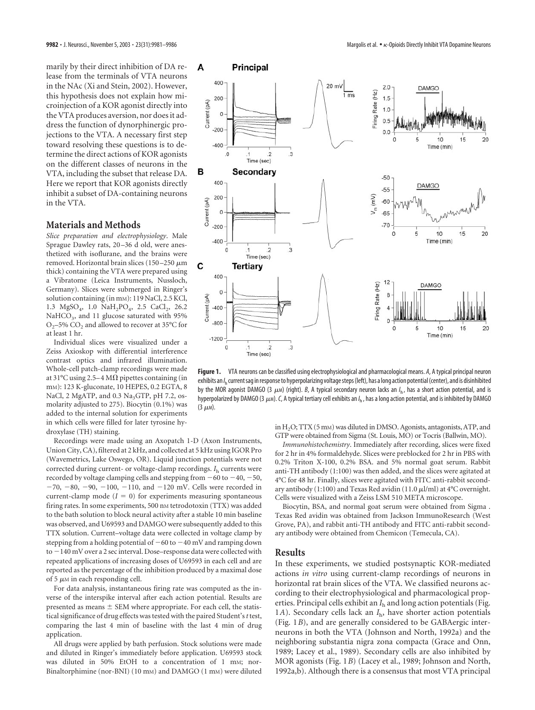marily by their direct inhibition of DA release from the terminals of VTA neurons in the NAc (Xi and Stein, 2002). However, this hypothesis does not explain how microinjection of a KOR agonist directly into the VTA produces aversion, nor does it address the function of dynorphinergic projections to the VTA. A necessary first step toward resolving these questions is to determine the direct actions of KOR agonists on the different classes of neurons in the VTA, including the subset that release DA. Here we report that KOR agonists directly inhibit a subset of DA-containing neurons in the VTA.

### **Materials and Methods**

*Slice preparation and electrophysiology*. Male Sprague Dawley rats, 20–36 d old, were anesthetized with isoflurane, and the brains were removed. Horizontal brain slices (150–250  $\mu$ m thick) containing the VTA were prepared using a Vibratome (Leica Instruments, Nussloch, Germany). Slices were submerged in Ringer's solution containing (in mm): 119 NaCl, 2.5 KCl, 1.3 MgSO<sub>4</sub>, 1.0 NaH<sub>2</sub>PO<sub>4</sub>, 2.5 CaCl<sub>2</sub>, 26.2 NaHCO<sub>3</sub>, and 11 glucose saturated with 95% O<sub>2</sub>–5% CO<sub>2</sub> and allowed to recover at 35°C for at least 1 hr.

Individual slices were visualized under a Zeiss Axioskop with differential interference contrast optics and infrared illumination. Whole-cell patch-clamp recordings were made at 31°C using 2.5–4 M $\Omega$  pipettes containing (in mM): 123 K-gluconate, 10 HEPES, 0.2 EGTA, 8 NaCl, 2 MgATP, and  $0.3$  Na<sub>3</sub>GTP, pH 7.2, osmolarity adjusted to 275). Biocytin (0.1%) was added to the internal solution for experiments in which cells were filled for later tyrosine hydroxylase (TH) staining.

Recordings were made using an Axopatch 1-D (Axon Instruments, Union City, CA), filtered at 2 kHz, and collected at 5 kHz using IGOR Pro (Wavemetrics, Lake Oswego, OR). Liquid junction potentials were not corrected during current- or voltage-clamp recordings. *I*<sup>h</sup> currents were recorded by voltage clamping cells and stepping from  $-60$  to  $-40, -50,$  $-70, -80, -90, -100, -110,$  and  $-120$  mV. Cells were recorded in current-clamp mode  $(I = 0)$  for experiments measuring spontaneous firing rates. In some experiments, 500 nm tetrodotoxin (TTX) was added to the bath solution to block neural activity after a stable 10 min baseline was observed, and U69593 and DAMGO were subsequently added to this TTX solution. Current–voltage data were collected in voltage clamp by stepping from a holding potential of  $-60$  to  $-40$  mV and ramping down to -140 mV over a 2 sec interval. Dose–response data were collected with repeated applications of increasing doses of U69593 in each cell and are reported as the percentage of the inhibition produced by a maximal dose of 5  $\mu$ M in each responding cell.

For data analysis, instantaneous firing rate was computed as the inverse of the interspike interval after each action potential. Results are presented as means  $\pm$  SEM where appropriate. For each cell, the statistical significance of drug effects was tested with the paired Student's*t* test, comparing the last 4 min of baseline with the last 4 min of drug application.

All drugs were applied by bath perfusion. Stock solutions were made and diluted in Ringer's immediately before application. U69593 stock was diluted in 50% EtOH to a concentration of 1 mM; nor-Binaltorphimine (nor-BNI) (10 mm) and DAMGO (1 mm) were diluted



**Figure 1.** VTA neurons can be classified using electrophysiological and pharmacological means. *A*, A typical principal neuron exhibits an /<sub>h</sub> current sag in response to hyperpolarizing voltage steps (left), has a long action potential (center), and is disinhibited by the MOR agonist DAMGO (3  $\mu$ m) (right). *B,* A typical secondary neuron lacks an /<sub>h</sub>, has a short action potential, and is hyperpolarized by DAMGO (3 μm). C, A typical tertiary cell exhibits an /<sub>h</sub> , has a long action potential, and is inhibited by DAMGO (3  $\mu$ м).

in H2O; TTX (5 mM) was diluted in DMSO. Agonists, antagonists, ATP, and GTP were obtained from Sigma (St. Louis, MO) or Tocris (Ballwin, MO).

*Immunohistochemistry*. Immediately after recording, slices were fixed for 2 hr in 4% formaldehyde. Slices were preblocked for 2 hr in PBS with 0.2% Triton X-100, 0.2% BSA. and 5% normal goat serum. Rabbit anti-TH antibody (1:100) was then added, and the slices were agitated at 4°C for 48 hr. Finally, slices were agitated with FITC anti-rabbit secondary antibody (1:100) and Texas Red avidin (11.0  $\mu$ l/ml) at 4°C overnight. Cells were visualized with a Zeiss LSM 510 META microscope.

Biocytin, BSA, and normal goat serum were obtained from Sigma . Texas Red avidin was obtained from Jackson ImmunoResearch (West Grove, PA), and rabbit anti-TH antibody and FITC anti-rabbit secondary antibody were obtained from Chemicon (Temecula, CA).

# **Results**

In these experiments, we studied postsynaptic KOR-mediated actions *in vitro* using current-clamp recordings of neurons in horizontal rat brain slices of the VTA. We classified neurons according to their electrophysiological and pharmacological properties. Principal cells exhibit an *I*<sup>h</sup> and long action potentials (Fig. 1*A*). Secondary cells lack an *I*<sub>h</sub>, have shorter action potentials (Fig. 1*B*), and are generally considered to be GABAergic interneurons in both the VTA (Johnson and North, 1992a) and the neighboring substantia nigra zona compacta (Grace and Onn, 1989; Lacey et al., 1989). Secondary cells are also inhibited by MOR agonists (Fig. 1*B*) (Lacey et al., 1989; Johnson and North, 1992a,b). Although there is a consensus that most VTA principal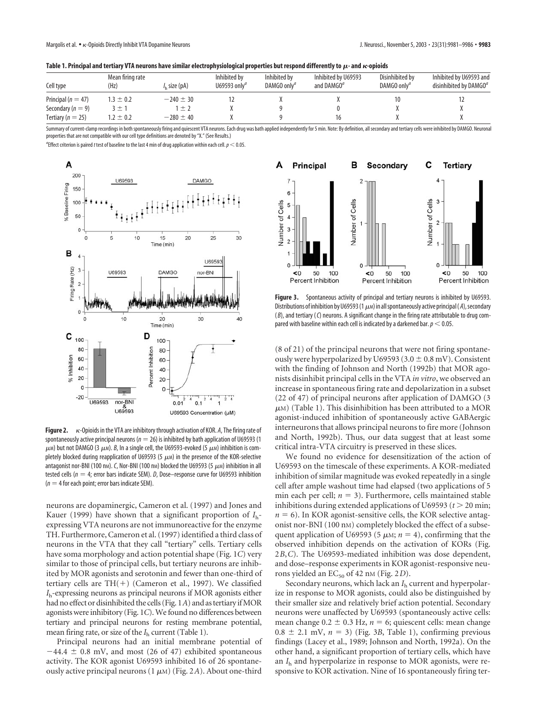|  |  |  |  | Table 1. Principal and tertiary VTA neurons have similar electrophysiological properties but respond differently to $\mu$ - and $\kappa$ -opioids |
|--|--|--|--|---------------------------------------------------------------------------------------------------------------------------------------------------|
|  |  |  |  |                                                                                                                                                   |

| Cell type              | Mean firing rate<br>(Hz) | /, size (pA)  | Inhibited by<br>U69593 only <sup><math>a</math></sup> | Inhibited by<br>DAMGO only <sup>a</sup> | Inhibited by U69593<br>and DAMGO <sup>a</sup> | Disinhibited by<br>DAMGO only <sup>a</sup> | Inhibited by U69593 and<br>disinhibited by $DAMGO^a$ |
|------------------------|--------------------------|---------------|-------------------------------------------------------|-----------------------------------------|-----------------------------------------------|--------------------------------------------|------------------------------------------------------|
| Principal ( $n = 47$ ) | $1.3 \pm 0.2$            | $-240 \pm 30$ |                                                       |                                         |                                               |                                            |                                                      |
| Secondary ( $n = 9$ )  | 士                        | 一土            |                                                       |                                         |                                               |                                            |                                                      |
| Tertiary ( $n = 25$ )  | $.2 \pm 0.2$             | $-280 \pm 40$ |                                                       |                                         |                                               |                                            |                                                      |

Summary of current-clamp recordings in both spontaneously firing and quiescent VTA neurons. Each drug was bath applied independently for 5 min. Note: By definition, all secondary and tertiary cells were inhibited by DAMGO. properties that are not compatible with our cell type definitions are denoted by "X." (See Results.)

*a* Effect criterion is paired*t* test of baseline to the last 4 min of drug application within each cell.*p* 0.05.



Figure 2.  $\kappa$ -Opioids in the VTA are inhibitory through activation of KOR. A, The firing rate of spontaneously active principal neurons (*n* 26) is inhibited by bath application of U69593 (1  $\mu$ м) but not DAMGO (3  $\mu$ м). *B*, In a single cell, the U69593-evoked (5  $\mu$ м) inhibition is completely blocked during reapplication of U69593 (5  $\mu$ m) in the presence of the KOR-selective antagonist nor-BNI (100 nm). C, Nor-BNI (100 nm) blocked the U69593 (5  $\mu$ m) inhibition in all tested cells ( $n = 4$ ; error bars indicate SEM). *D*, Dose–response curve for U69593 inhibition  $(n = 4$  for each point; error bars indicate SEM).

neurons are dopaminergic, Cameron et al. (1997) and Jones and Kauer (1999) have shown that a significant proportion of *I*hexpressing VTA neurons are not immunoreactive for the enzyme TH. Furthermore, Cameron et al. (1997) identified a third class of neurons in the VTA that they call "tertiary" cells. Tertiary cells have soma morphology and action potential shape (Fig. 1*C*) very similar to those of principal cells, but tertiary neurons are inhibited by MOR agonists and serotonin and fewer than one-third of tertiary cells are  $TH(+)$  (Cameron et al., 1997). We classified *I*h-expressing neurons as principal neurons if MOR agonists either had no effect or disinhibited the cells (Fig. 1*A*) and as tertiary if MOR agonists were inhibitory (Fig. 1*C*). We found no differences between tertiary and principal neurons for resting membrane potential, mean firing rate, or size of the *I*<sup>h</sup> current (Table 1).

Principal neurons had an initial membrane potential of  $-44.4 \pm 0.8$  mV, and most (26 of 47) exhibited spontaneous activity. The KOR agonist U69593 inhibited 16 of 26 spontaneously active principal neurons  $(1 \ \mu\text{m})$  (Fig. 2A). About one-third



**Figure 3.** Spontaneous activity of principal and tertiary neurons is inhibited by U69593. Distributions of inhibition by U69593 (1  $\mu$ m) in all spontaneously active principal ( *A*), secondary ( *B*), and tertiary (*C*) neurons. A significant change in the firing rate attributable to drug compared with baseline within each cell is indicated by a darkened bar.  $p < 0.05$ .

(8 of 21) of the principal neurons that were not firing spontaneously were hyperpolarized by U69593 (3.0  $\pm$  0.8 mV). Consistent with the finding of Johnson and North (1992b) that MOR agonists disinhibit principal cells in the VTA *in vitro*, we observed an increase in spontaneous firing rate and depolarization in a subset (22 of 47) of principal neurons after application of DAMGO (3  $\mu$ м) (Table 1). This disinhibition has been attributed to a MOR agonist-induced inhibition of spontaneously active GABAergic interneurons that allows principal neurons to fire more (Johnson and North, 1992b). Thus, our data suggest that at least some critical intra-VTA circuitry is preserved in these slices.

We found no evidence for desensitization of the action of U69593 on the timescale of these experiments. A KOR-mediated inhibition of similar magnitude was evoked repeatedly in a single cell after ample washout time had elapsed (two applications of 5 min each per cell;  $n = 3$ ). Furthermore, cells maintained stable inhibitions during extended applications of U69593  $(t > 20 \text{ min};$  $n = 6$ ). In KOR agonist-sensitive cells, the KOR selective antagonist nor-BNI (100 nM) completely blocked the effect of a subsequent application of U69593 (5  $\mu$ M;  $n = 4$ ), confirming that the observed inhibition depends on the activation of KORs (Fig. 2*B*,*C*). The U69593-mediated inhibition was dose dependent, and dose–response experiments in KOR agonist-responsive neurons yielded an  $EC_{50}$  of 42 nm (Fig. 2*D*).

Secondary neurons, which lack an *I*<sup>h</sup> current and hyperpolarize in response to MOR agonists, could also be distinguished by their smaller size and relatively brief action potential. Secondary neurons were unaffected by U69593 (spontaneously active cells: mean change  $0.2 \pm 0.3$  Hz,  $n = 6$ ; quiescent cells: mean change  $0.8 \pm 2.1$  mV,  $n = 3$ ) (Fig. 3*B*, Table 1), confirming previous findings (Lacey et al., 1989; Johnson and North, 1992a). On the other hand, a significant proportion of tertiary cells, which have an *I*<sup>h</sup> and hyperpolarize in response to MOR agonists, were responsive to KOR activation. Nine of 16 spontaneously firing ter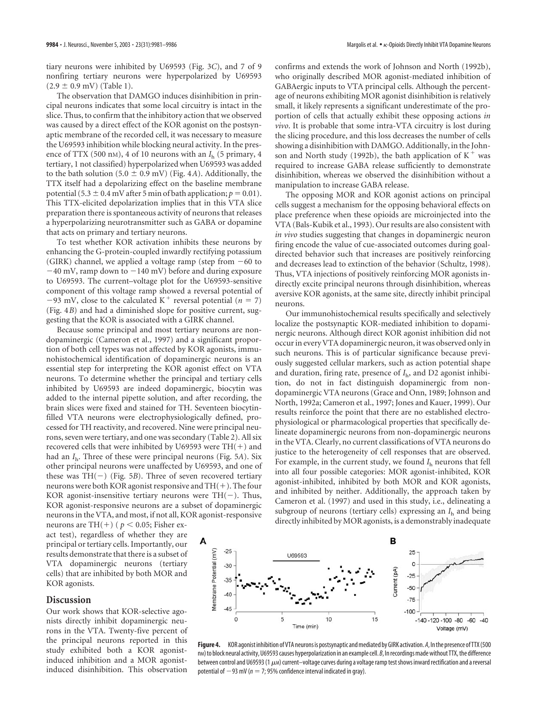tiary neurons were inhibited by U69593 (Fig. 3*C*), and 7 of 9 nonfiring tertiary neurons were hyperpolarized by U69593  $(2.9 \pm 0.9 \text{ mV})$  (Table 1).

The observation that DAMGO induces disinhibition in principal neurons indicates that some local circuitry is intact in the slice. Thus, to confirm that the inhibitory action that we observed was caused by a direct effect of the KOR agonist on the postsynaptic membrane of the recorded cell, it was necessary to measure the U69593 inhibition while blocking neural activity. In the presence of TTX (500 nM), 4 of 10 neurons with an *I*<sup>h</sup> (5 primary, 4 tertiary, 1 not classified) hyperpolarized when U69593 was added to the bath solution (5.0  $\pm$  0.9 mV) (Fig. 4*A*). Additionally, the TTX itself had a depolarizing effect on the baseline membrane potential (5.3  $\pm$  0.4 mV after 5 min of bath application;  $p = 0.01$ ). This TTX-elicited depolarization implies that in this VTA slice preparation there is spontaneous activity of neurons that releases a hyperpolarizing neurotransmitter such as GABA or dopamine that acts on primary and tertiary neurons.

To test whether KOR activation inhibits these neurons by enhancing the G-protein-coupled inwardly rectifying potassium (GIRK) channel, we applied a voltage ramp (step from  $-60$  to  $-40$  mV, ramp down to  $-140$  mV) before and during exposure to U69593. The current–voltage plot for the U69593-sensitive component of this voltage ramp showed a reversal potential of  $-93$  mV, close to the calculated K<sup>+</sup> reversal potential ( $n = 7$ ) (Fig. 4*B*) and had a diminished slope for positive current, suggesting that the KOR is associated with a GIRK channel.

Because some principal and most tertiary neurons are nondopaminergic (Cameron et al., 1997) and a significant proportion of both cell types was not affected by KOR agonists, immunohistochemical identification of dopaminergic neurons is an essential step for interpreting the KOR agonist effect on VTA neurons. To determine whether the principal and tertiary cells inhibited by U69593 are indeed dopaminergic, biocytin was added to the internal pipette solution, and after recording, the brain slices were fixed and stained for TH. Seventeen biocytinfilled VTA neurons were electrophysiologically defined, processed for TH reactivity, and recovered. Nine were principal neurons, seven were tertiary, and one was secondary (Table 2). All six recovered cells that were inhibited by U69593 were  $TH(+)$  and had an *I*h. Three of these were principal neurons (Fig. 5*A*). Six other principal neurons were unaffected by U69593, and one of these was TH(-) (Fig. 5*B*). Three of seven recovered tertiary neurons were both KOR agonist responsive and  $TH(+)$ . The four KOR agonist-insensitive tertiary neurons were  $TH(-)$ . Thus, KOR agonist-responsive neurons are a subset of dopaminergic neurons in the VTA, and most, if not all, KOR agonist-responsive neurons are TH(+) ( $p < 0.05$ ; Fisher ex-

act test), regardless of whether they are principal or tertiary cells. Importantly, our results demonstrate that there is a subset of VTA dopaminergic neurons (tertiary cells) that are inhibited by both MOR and KOR agonists.

#### **Discussion**

Our work shows that KOR-selective agonists directly inhibit dopaminergic neurons in the VTA. Twenty-five percent of the principal neurons reported in this study exhibited both a KOR agonistinduced inhibition and a MOR agonistinduced disinhibition. This observation

confirms and extends the work of Johnson and North (1992b), who originally described MOR agonist-mediated inhibition of GABAergic inputs to VTA principal cells. Although the percentage of neurons exhibiting MOR agonist disinhibition is relatively small, it likely represents a significant underestimate of the proportion of cells that actually exhibit these opposing actions *in vivo*. It is probable that some intra-VTA circuitry is lost during the slicing procedure, and this loss decreases the number of cells showing a disinhibition with DAMGO. Additionally, in the Johnson and North study (1992b), the bath application of  $K^+$  was required to increase GABA release sufficiently to demonstrate disinhibition, whereas we observed the disinhibition without a manipulation to increase GABA release.

The opposing MOR and KOR agonist actions on principal cells suggest a mechanism for the opposing behavioral effects on place preference when these opioids are microinjected into the VTA (Bals-Kubik et al., 1993). Our results are also consistent with *in vivo* studies suggesting that changes in dopaminergic neuron firing encode the value of cue-associated outcomes during goaldirected behavior such that increases are positively reinforcing and decreases lead to extinction of the behavior (Schultz, 1998). Thus, VTA injections of positively reinforcing MOR agonists indirectly excite principal neurons through disinhibition, whereas aversive KOR agonists, at the same site, directly inhibit principal neurons.

Our immunohistochemical results specifically and selectively localize the postsynaptic KOR-mediated inhibition to dopaminergic neurons. Although direct KOR agonist inhibition did not occur in every VTA dopaminergic neuron, it was observed only in such neurons. This is of particular significance because previously suggested cellular markers, such as action potential shape and duration, firing rate, presence of *I*h, and D2 agonist inhibition, do not in fact distinguish dopaminergic from nondopaminergic VTA neurons (Grace and Onn, 1989; Johnson and North, 1992a; Cameron et al., 1997; Jones and Kauer, 1999). Our results reinforce the point that there are no established electrophysiological or pharmacological properties that specifically delineate dopaminergic neurons from non-dopaminergic neurons in the VTA. Clearly, no current classifications of VTA neurons do justice to the heterogeneity of cell responses that are observed. For example, in the current study, we found  $I<sub>h</sub>$  neurons that fell into all four possible categories: MOR agonist-inhibited, KOR agonist-inhibited, inhibited by both MOR and KOR agonists, and inhibited by neither. Additionally, the approach taken by Cameron et al. (1997) and used in this study, i.e., delineating a subgroup of neurons (tertiary cells) expressing an *I*<sup>h</sup> and being directly inhibited by MOR agonists, is a demonstrably inadequate



**Figure 4.** KOR agonist inhibition of VTA neurons is postsynaptic and mediated by GIRK activation. *A*, In the presence of TTX (500 n<sub>M</sub>) to block neural activity, U69593 causes hyperpolarization in an example cell. *B*, In recordings made without TTX, the difference between control and U69593 (1  $\mu$ m) current—voltage curves during a voltage ramp test shows inward rectification and a reversal potential of  $-93$  mV ( $n = 7$ ; 95% confidence interval indicated in gray).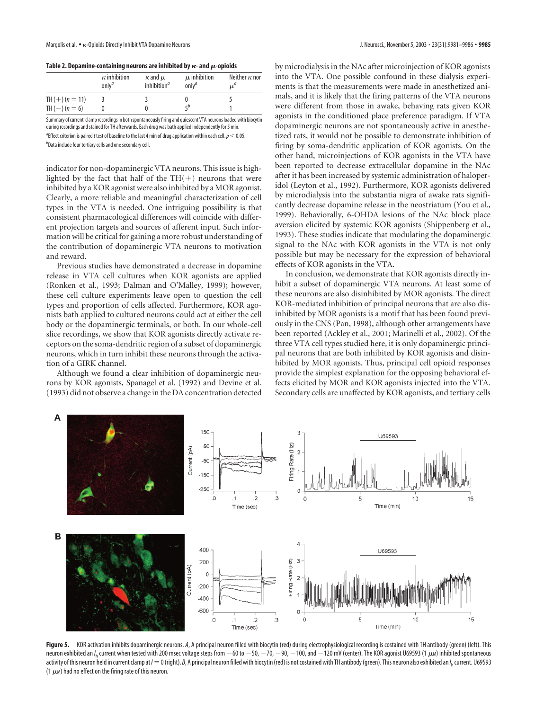#### Table 2. Dopamine-containing neurons are inhibited by  $\boldsymbol{\kappa}$ - and  $\boldsymbol{\mu}$ -opioids

|                   | $\kappa$ inhibition<br>$onlv^a$ | $\kappa$ and $\mu$<br>inhibition <sup>a</sup> | $\mu$ inhibition<br>$onlv^a$ | Neither $\kappa$ nor<br>w |
|-------------------|---------------------------------|-----------------------------------------------|------------------------------|---------------------------|
| TH $(+) (n = 11)$ |                                 |                                               |                              |                           |
| TH $(-) (n = 6)$  |                                 |                                               |                              |                           |

Summary of current-clamp recordings in both spontaneously firing and quiescent VTA neurons loaded with biocytin during recordings and stained for TH afterwards. Each drug was bath applied independently for 5 min.  $^a$ Effect criterion is paired t test of baseline to the last 4 min of drug application within each cell.  $p < 0.05$ . *b* Data include four tertiary cells and one secondary cell.

indicator for non-dopaminergic VTA neurons. This issue is highlighted by the fact that half of the  $TH(+)$  neurons that were inhibited by a KOR agonist were also inhibited by a MOR agonist. Clearly, a more reliable and meaningful characterization of cell types in the VTA is needed. One intriguing possibility is that consistent pharmacological differences will coincide with different projection targets and sources of afferent input. Such information will be critical for gaining a more robust understanding of the contribution of dopaminergic VTA neurons to motivation and reward.

Previous studies have demonstrated a decrease in dopamine release in VTA cell cultures when KOR agonists are applied (Ronken et al., 1993; Dalman and O'Malley, 1999); however, these cell culture experiments leave open to question the cell types and proportion of cells affected. Furthermore, KOR agonists bath applied to cultured neurons could act at either the cell body or the dopaminergic terminals, or both. In our whole-cell slice recordings, we show that KOR agonists directly activate receptors on the soma-dendritic region of a subset of dopaminergic neurons, which in turn inhibit these neurons through the activation of a GIRK channel.

Although we found a clear inhibition of dopaminergic neurons by KOR agonists, Spanagel et al. (1992) and Devine et al. (1993) did not observe a change in the DA concentration detected by microdialysis in the NAc after microinjection of KOR agonists into the VTA. One possible confound in these dialysis experiments is that the measurements were made in anesthetized animals, and it is likely that the firing patterns of the VTA neurons were different from those in awake, behaving rats given KOR agonists in the conditioned place preference paradigm. If VTA dopaminergic neurons are not spontaneously active in anesthetized rats, it would not be possible to demonstrate inhibition of firing by soma-dendritic application of KOR agonists. On the other hand, microinjections of KOR agonists in the VTA have been reported to decrease extracellular dopamine in the NAc after it has been increased by systemic administration of haloperidol (Leyton et al., 1992). Furthermore, KOR agonists delivered by microdialysis into the substantia nigra of awake rats significantly decrease dopamine release in the neostriatum (You et al., 1999). Behaviorally, 6-OHDA lesions of the NAc block place aversion elicited by systemic KOR agonists (Shippenberg et al., 1993). These studies indicate that modulating the dopaminergic signal to the NAc with KOR agonists in the VTA is not only possible but may be necessary for the expression of behavioral effects of KOR agonists in the VTA.

In conclusion, we demonstrate that KOR agonists directly inhibit a subset of dopaminergic VTA neurons. At least some of these neurons are also disinhibited by MOR agonists. The direct KOR-mediated inhibition of principal neurons that are also disinhibited by MOR agonists is a motif that has been found previously in the CNS (Pan, 1998), although other arrangements have been reported (Ackley et al., 2001; Marinelli et al., 2002). Of the three VTA cell types studied here, it is only dopaminergic principal neurons that are both inhibited by KOR agonists and disinhibited by MOR agonists. Thus, principal cell opioid responses provide the simplest explanation for the opposing behavioral effects elicited by MOR and KOR agonists injected into the VTA. Secondary cells are unaffected by KOR agonists, and tertiary cells



Figure 5. KOR activation inhibits dopaminergic neurons. A, A principal neuron filled with biocytin (red) during electrophysiological recording is costained with TH antibody (green) (left). This neuron exhibited an /<sub>h</sub> current when tested with 200 msec voltage steps from  $-60$  to  $-50$ ,  $-70$ ,  $-90$ ,  $-100$ , and  $-120$  mV (center). The KOR agonist U69593 (1  $\mu$ m) inhibited spontaneous activity of this neuron held in current clamp at /  $=0$  (right). *B*, A principal neuron filled with biocytin (red) is not costained with TH antibody (green). This neuron also exhibited an /<sub>h</sub> current. U69593 (1  $\mu$ м) had no effect on the firing rate of this neuron.